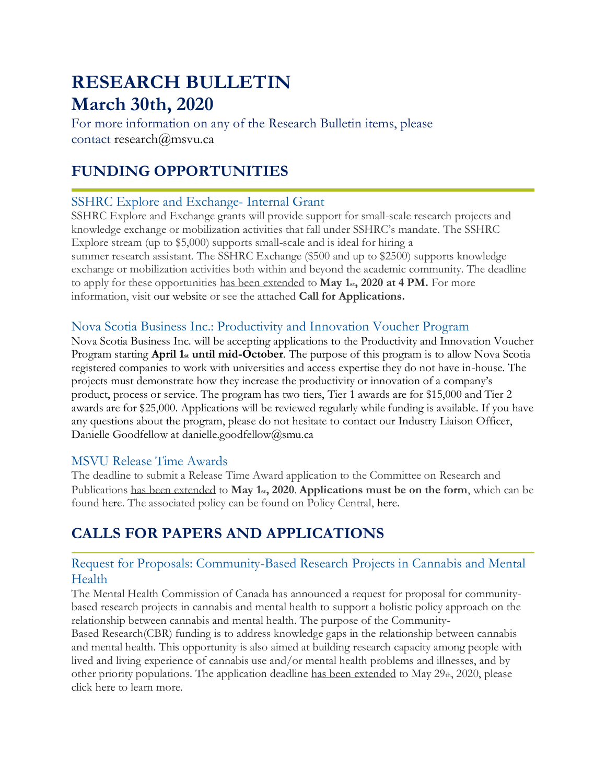# **RESEARCH BULLETIN March 30th, 2020**

For more information on any of the Research Bulletin items, please contact [research@msvu.ca](mailto:research@msvu.ca)

# **FUNDING OPPORTUNITIES**

### SSHRC Explore and Exchange- Internal Grant

SSHRC Explore and Exchange grants will provide support for small-scale research projects and knowledge exchange or mobilization activities that fall under SSHRC's mandate. The SSHRC Explore stream (up to \$5,000) supports small-scale and is ideal for hiring a summer research assistant. The SSHRC Exchange (\$500 and up to \$2500) supports knowledge exchange or mobilization activities both within and beyond the academic community. The deadline to apply for these opportunities has been extended to **May 1st, 2020 at 4 PM.** For more information, visit [our website](https://www.msvu.ca/en/home/research/externalgrants/internalgrants.aspx) or see the attached **Call for Applications.**

### Nova Scotia Business Inc.: Productivity and Innovation Voucher Program

Nova Scotia Business Inc. will be accepting applications to the Productivity and Innovation Voucher Program starting **April 1st until mid-October**. The purpose of this program is to allow Nova Scotia registered companies to work with universities and access expertise they do not have in-house. The projects must demonstrate how they increase the productivity or innovation of a company's product, process or service. The program has two tiers, Tier 1 awards are for \$15,000 and Tier 2 awards are for \$25,000. Applications will be reviewed regularly while funding is available. If you have any questions about the program, please do not hesitate to contact our Industry Liaison Officer, Danielle Goodfellow at [danielle.goodfellow@smu.ca](mailto:danielle.goodfellow@smu.ca)

### MSVU Release Time Awards

The deadline to submit a Release Time Award application to the Committee on Research and Publications has been extended to **May 1st, 2020**. **Applications must be on the form**, which can be found [here.](https://www.msvu.ca/en/home/research/externalgrants/internalgrants.aspx) The associated policy can be found on Policy Central, [here.](http://www2.msvu.ca/DocumentCentral/Documents/Faculty%20Release%20Time%20Awards.pdf)

# **CALLS FOR PAPERS AND APPLICATIONS**

### Request for Proposals: Community-Based Research Projects in Cannabis and Mental Health

The Mental Health Commission of Canada has announced a request for proposal for communitybased research projects in cannabis and mental health to support a holistic policy approach on the relationship between cannabis and mental health. The purpose of the Community-

Based Research(CBR) funding is to address knowledge gaps in the relationship between cannabis and mental health. This opportunity is also aimed at building research capacity among people with lived and living experience of cannabis use and/or mental health problems and illnesses, and by other priority populations. The application deadline has been extended to May  $29<sub>th</sub>$ ,  $2020$ , please click [here](https://www.mentalhealthcommission.ca/sites/default/files/2020-03/cannabis_cbr_rfp_eng.pdf) to learn more.